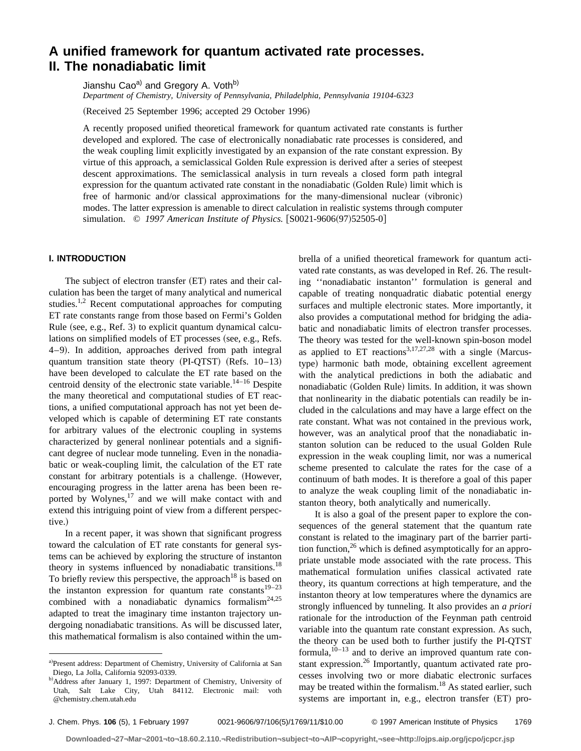# **A unified framework for quantum activated rate processes. II. The nonadiabatic limit**

Jianshu Cao<sup>a)</sup> and Gregory A. Voth<sup>b)</sup>

*Department of Chemistry, University of Pennsylvania, Philadelphia, Pennsylvania 19104-6323*

(Received 25 September 1996; accepted 29 October 1996)

A recently proposed unified theoretical framework for quantum activated rate constants is further developed and explored. The case of electronically nonadiabatic rate processes is considered, and the weak coupling limit explicitly investigated by an expansion of the rate constant expression. By virtue of this approach, a semiclassical Golden Rule expression is derived after a series of steepest descent approximations. The semiclassical analysis in turn reveals a closed form path integral expression for the quantum activated rate constant in the nonadiabatic (Golden Rule) limit which is free of harmonic and/or classical approximations for the many-dimensional nuclear (vibronic) modes. The latter expression is amenable to direct calculation in realistic systems through computer simulation. © 1997 American Institute of Physics. [S0021-9606(97)52505-0]

# **I. INTRODUCTION**

The subject of electron transfer (ET) rates and their calculation has been the target of many analytical and numerical studies.<sup>1,2</sup> Recent computational approaches for computing ET rate constants range from those based on Fermi's Golden Rule (see, e.g., Ref. 3) to explicit quantum dynamical calculations on simplified models of ET processes (see, e.g., Refs. 4–9). In addition, approaches derived from path integral quantum transition state theory  $(PI-QTST)$   $(Refs. 10-13)$ have been developed to calculate the ET rate based on the centroid density of the electronic state variable.<sup>14–16</sup> Despite the many theoretical and computational studies of ET reactions, a unified computational approach has not yet been developed which is capable of determining ET rate constants for arbitrary values of the electronic coupling in systems characterized by general nonlinear potentials and a significant degree of nuclear mode tunneling. Even in the nonadiabatic or weak-coupling limit, the calculation of the ET rate constant for arbitrary potentials is a challenge. (However, encouraging progress in the latter arena has been been reported by Wolynes,<sup>17</sup> and we will make contact with and extend this intriguing point of view from a different perspective.)

In a recent paper, it was shown that significant progress toward the calculation of ET rate constants for general systems can be achieved by exploring the structure of instanton theory in systems influenced by nonadiabatic transitions.<sup>18</sup> To briefly review this perspective, the approach<sup>18</sup> is based on the instanton expression for quantum rate constants $19-23$ combined with a nonadiabatic dynamics formalism<sup>24,25</sup> adapted to treat the imaginary time instanton trajectory undergoing nonadiabatic transitions. As will be discussed later, this mathematical formalism is also contained within the umbrella of a unified theoretical framework for quantum activated rate constants, as was developed in Ref. 26. The resulting ''nonadiabatic instanton'' formulation is general and capable of treating nonquadratic diabatic potential energy surfaces and multiple electronic states. More importantly, it also provides a computational method for bridging the adiabatic and nonadiabatic limits of electron transfer processes. The theory was tested for the well-known spin-boson model as applied to ET reactions<sup>3,17,27,28</sup> with a single (Marcustype) harmonic bath mode, obtaining excellent agreement with the analytical predictions in both the adiabatic and nonadiabatic (Golden Rule) limits. In addition, it was shown that nonlinearity in the diabatic potentials can readily be included in the calculations and may have a large effect on the rate constant. What was not contained in the previous work, however, was an analytical proof that the nonadiabatic instanton solution can be reduced to the usual Golden Rule expression in the weak coupling limit, nor was a numerical scheme presented to calculate the rates for the case of a continuum of bath modes. It is therefore a goal of this paper to analyze the weak coupling limit of the nonadiabatic instanton theory, both analytically and numerically.

It is also a goal of the present paper to explore the consequences of the general statement that the quantum rate constant is related to the imaginary part of the barrier partition function, $26$  which is defined asymptotically for an appropriate unstable mode associated with the rate process. This mathematical formulation unifies classical activated rate theory, its quantum corrections at high temperature, and the instanton theory at low temperatures where the dynamics are strongly influenced by tunneling. It also provides an *a priori* rationale for the introduction of the Feynman path centroid variable into the quantum rate constant expression. As such, the theory can be used both to further justify the PI-QTST formula, $10-13$  and to derive an improved quantum rate constant expression.<sup>26</sup> Importantly, quantum activated rate processes involving two or more diabatic electronic surfaces may be treated within the formalism.<sup>18</sup> As stated earlier, such systems are important in, e.g., electron transfer (ET) pro-

a)Present address: Department of Chemistry, University of California at San Diego, La Jolla, California 92093-0339.

b) Address after January 1, 1997: Department of Chemistry, University of Utah, Salt Lake City, Utah 84112. Electronic mail: voth @chemistry.chem.utah.edu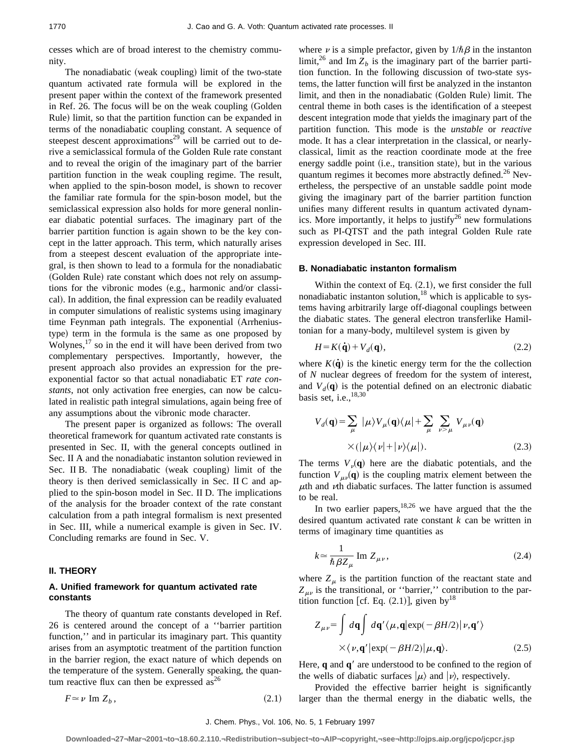cesses which are of broad interest to the chemistry community.

The nonadiabatic (weak coupling) limit of the two-state quantum activated rate formula will be explored in the present paper within the context of the framework presented in Ref. 26. The focus will be on the weak coupling (Golden Rule) limit, so that the partition function can be expanded in terms of the nonadiabatic coupling constant. A sequence of steepest descent approximations<sup>29</sup> will be carried out to derive a semiclassical formula of the Golden Rule rate constant and to reveal the origin of the imaginary part of the barrier partition function in the weak coupling regime. The result, when applied to the spin-boson model, is shown to recover the familiar rate formula for the spin-boson model, but the semiclassical expression also holds for more general nonlinear diabatic potential surfaces. The imaginary part of the barrier partition function is again shown to be the key concept in the latter approach. This term, which naturally arises from a steepest descent evaluation of the appropriate integral, is then shown to lead to a formula for the nonadiabatic (Golden Rule) rate constant which does not rely on assumptions for the vibronic modes (e.g., harmonic and/or classical). In addition, the final expression can be readily evaluated in computer simulations of realistic systems using imaginary time Feynman path integrals. The exponential (Arrheniustype) term in the formula is the same as one proposed by Wolynes, $^{17}$  so in the end it will have been derived from two complementary perspectives. Importantly, however, the present approach also provides an expression for the preexponential factor so that actual nonadiabatic ET *rate constants*, not only activation free energies, can now be calculated in realistic path integral simulations, again being free of any assumptions about the vibronic mode character.

The present paper is organized as follows: The overall theoretical framework for quantum activated rate constants is presented in Sec. II, with the general concepts outlined in Sec. II A and the nonadiabatic instanton solution reviewed in Sec. II B. The nonadiabatic (weak coupling) limit of the theory is then derived semiclassically in Sec. II C and applied to the spin-boson model in Sec. II D. The implications of the analysis for the broader context of the rate constant calculation from a path integral formalism is next presented in Sec. III, while a numerical example is given in Sec. IV. Concluding remarks are found in Sec. V.

# **II. THEORY**

### **A. Unified framework for quantum activated rate constants**

The theory of quantum rate constants developed in Ref. 26 is centered around the concept of a ''barrier partition function," and in particular its imaginary part. This quantity arises from an asymptotic treatment of the partition function in the barrier region, the exact nature of which depends on the temperature of the system. Generally speaking, the quantum reactive flux can then be expressed  $as^{26}$ 

 $F \approx \nu \text{ Im } Z_b,$  (2.1)

where  $\nu$  is a simple prefactor, given by  $1/\hbar \beta$  in the instanton limit,<sup>26</sup> and Im  $Z_b$  is the imaginary part of the barrier partition function. In the following discussion of two-state systems, the latter function will first be analyzed in the instanton limit, and then in the nonadiabatic (Golden Rule) limit. The central theme in both cases is the identification of a steepest descent integration mode that yields the imaginary part of the partition function. This mode is the *unstable* or *reactive* mode. It has a clear interpretation in the classical, or nearlyclassical, limit as the reaction coordinate mode at the free energy saddle point (i.e., transition state), but in the various quantum regimes it becomes more abstractly defined.<sup>26</sup> Nevertheless, the perspective of an unstable saddle point mode giving the imaginary part of the barrier partition function unifies many different results in quantum activated dynamics. More importantly, it helps to justify<sup>26</sup> new formulations such as PI-QTST and the path integral Golden Rule rate expression developed in Sec. III.

#### **B. Nonadiabatic instanton formalism**

Within the context of Eq.  $(2.1)$ , we first consider the full nonadiabatic instanton solution, $18$  which is applicable to systems having arbitrarily large off-diagonal couplings between the diabatic states. The general electron transferlike Hamiltonian for a many-body, multilevel system is given by

$$
H = K(\dot{\mathbf{q}}) + V_d(\mathbf{q}),\tag{2.2}
$$

where  $K(\dot{\mathbf{q}})$  is the kinetic energy term for the the collection of *N* nuclear degrees of freedom for the system of interest, and  $V_d(\mathbf{q})$  is the potential defined on an electronic diabatic basis set, i.e., $^{18,30}$ 

$$
V_d(\mathbf{q}) = \sum_{\mu} |\mu\rangle V_{\mu}(\mathbf{q}) \langle \mu| + \sum_{\mu} \sum_{\nu > \mu} V_{\mu\nu}(\mathbf{q})
$$
  
 
$$
\times (|\mu\rangle \langle \nu| + |\nu\rangle \langle \mu|). \tag{2.3}
$$

The terms  $V_p(\mathbf{q})$  here are the diabatic potentials, and the function  $V_{\mu\nu}(\mathbf{q})$  is the coupling matrix element between the  $\mu$ th and  $\nu$ th diabatic surfaces. The latter function is assumed to be real.

In two earlier papers,  $18,26$  we have argued that the the desired quantum activated rate constant *k* can be written in terms of imaginary time quantities as

$$
k \approx \frac{1}{\hbar \beta Z_{\mu}} \operatorname{Im} Z_{\mu\nu},\tag{2.4}
$$

where  $Z_{\mu}$  is the partition function of the reactant state and  $Z_{\mu\nu}$  is the transitional, or "barrier," contribution to the partition function [cf. Eq.  $(2.1)$ ], given by<sup>18</sup>

$$
Z_{\mu\nu} = \int d\mathbf{q} \int d\mathbf{q}' \langle \mu, \mathbf{q} | \exp(-\beta H/2) | \nu, \mathbf{q}' \rangle
$$
  
 
$$
\times \langle \nu, \mathbf{q}' | \exp(-\beta H/2) | \mu, \mathbf{q} \rangle.
$$
 (2.5)

Here,  $\bf{q}$  and  $\bf{q}$ <sup>'</sup> are understood to be confined to the region of the wells of diabatic surfaces  $|\mu\rangle$  and  $|\nu\rangle$ , respectively.

Provided the effective barrier height is significantly larger than the thermal energy in the diabatic wells, the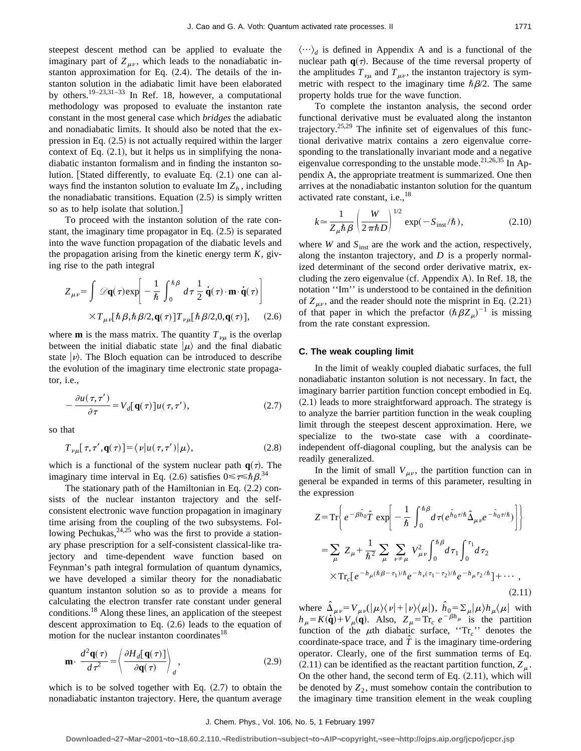steepest descent method can be applied to evaluate the imaginary part of  $Z_{\mu\nu}$ , which leads to the nonadiabatic instanton approximation for Eq.  $(2.4)$ . The details of the instanton solution in the adiabatic limit have been elaborated by others.<sup>19–23,31–33</sup> In Ref. 18, however, a computational methodology was proposed to evaluate the instanton rate constant in the most general case which *bridges* the adiabatic and nonadiabatic limits. It should also be noted that the expression in Eq.  $(2.5)$  is not actually required within the larger context of Eq.  $(2.1)$ , but it helps us in simplifying the nonadiabatic instanton formalism and in finding the instanton solution. [Stated differently, to evaluate Eq.  $(2.1)$  one can always find the instanton solution to evaluate  $\text{Im } Z_b$ , including the nonadiabatic transitions. Equation  $(2.5)$  is simply written so as to help isolate that solution.]

To proceed with the instanton solution of the rate constant, the imaginary time propagator in Eq.  $(2.5)$  is separated into the wave function propagation of the diabatic levels and the propagation arising from the kinetic energy term *K*, giving rise to the path integral

$$
Z_{\mu\nu} = \int \mathcal{D}\mathbf{q}(\tau) \exp\left[-\frac{1}{\hbar} \int_0^{\hbar\beta} d\tau \frac{1}{2} \dot{\mathbf{q}}(\tau) \cdot \mathbf{m} \cdot \dot{\mathbf{q}}(\tau)\right] \times T_{\mu\nu} [\hbar \beta, \hbar \beta/2, \mathbf{q}(\tau)] T_{\nu\mu} [\hbar \beta/2, 0, \mathbf{q}(\tau)], \quad (2.6)
$$

where **m** is the mass matrix. The quantity  $T_{\nu\mu}$  is the overlap between the initial diabatic state  $|\mu\rangle$  and the final diabatic state  $|\nu\rangle$ . The Bloch equation can be introduced to describe the evolution of the imaginary time electronic state propagator, i.e.,

$$
-\frac{\partial u(\tau,\tau')}{\partial \tau} = V_d[\mathbf{q}(\tau)]u(\tau,\tau'),\tag{2.7}
$$

so that

$$
T_{\nu\mu}[\tau,\tau',\mathbf{q}(\tau)]=\langle\nu|u(\tau,\tau')|\mu\rangle,\tag{2.8}
$$

which is a functional of the system nuclear path  $q(\tau)$ . The imaginary time interval in Eq. (2.6) satisfies  $0 \le \tau \le \hbar \beta$ .<sup>34</sup>

The stationary path of the Hamiltonian in Eq.  $(2.2)$  consists of the nuclear instanton trajectory and the selfconsistent electronic wave function propagation in imaginary time arising from the coupling of the two subsystems. Following Pechukas,  $24,25$  who was the first to provide a stationary phase prescription for a self-consistent classical-like trajectory and time-dependent wave function based on Feynman's path integral formulation of quantum dynamics, we have developed a similar theory for the nonadiabatic quantum instanton solution so as to provide a means for calculating the electron transfer rate constant under general conditions.<sup>18</sup> Along these lines, an application of the steepest descent approximation to Eq.  $(2.6)$  leads to the equation of motion for the nuclear instanton coordinates<sup>18</sup>

$$
\mathbf{m} \cdot \frac{d^2 \mathbf{q}(\tau)}{d\tau^2} = \left\langle \frac{\partial H_d[\mathbf{q}(\tau)]}{\partial \mathbf{q}(\tau)} \right\rangle_d, \tag{2.9}
$$

which is to be solved together with Eq.  $(2.7)$  to obtain the nonadiabatic instanton trajectory. Here, the quantum average  $\langle \cdots \rangle_d$  is defined in Appendix A and is a functional of the nuclear path  $q(\tau)$ . Because of the time reversal property of the amplitudes  $T_{\nu\mu}$  and  $T_{\mu\nu}$ , the instanton trajectory is symmetric with respect to the imaginary time  $\hbar\beta/2$ . The same property holds true for the wave function.

To complete the instanton analysis, the second order functional derivative must be evaluated along the instanton trajectory.25,29 The infinite set of eigenvalues of this functional derivative matrix contains a zero eigenvalue corresponding to the translationally invariant mode and a negative eigenvalue corresponding to the unstable mode.<sup>21,26,35</sup> In Appendix A, the appropriate treatment is summarized. One then arrives at the nonadiabatic instanton solution for the quantum activated rate constant, i.e., $^{18}$ 

$$
k \approx \frac{1}{Z_{\mu}\hbar \beta} \left(\frac{W}{2\pi\hbar D}\right)^{1/2} \exp(-S_{\text{inst}}/\hbar), \tag{2.10}
$$

where *W* and  $S_{inst}$  are the work and the action, respectively, along the instanton trajectory, and *D* is a properly normalized determinant of the second order derivative matrix, excluding the zero eigenvalue (cf. Appendix A). In Ref. 18, the notation ''Im'' is understood to be contained in the definition of  $Z_{\mu\nu}$ , and the reader should note the misprint in Eq.  $(2.21)$ of that paper in which the prefactor  $(\hbar \beta Z_{\mu})^{-1}$  is missing from the rate constant expression.

#### **C. The weak coupling limit**

In the limit of weakly coupled diabatic surfaces, the full nonadiabatic instanton solution is not necessary. In fact, the imaginary barrier partition function concept embodied in Eq.  $(2.1)$  leads to more straightforward approach. The strategy is to analyze the barrier partition function in the weak coupling limit through the steepest descent approximation. Here, we specialize to the two-state case with a coordinateindependent off-diagonal coupling, but the analysis can be readily generalized.

In the limit of small  $V_{\mu\nu}$ , the partition function can in general be expanded in terms of this parameter, resulting in the expression

$$
Z = \text{Tr}\left\{ e^{-\beta \hat{h}_0} \hat{T} \exp\left[ -\frac{1}{\hbar} \int_0^{\hbar \beta} d\tau (e^{\hat{h}_0 \tau/\hbar} \hat{\Delta}_{\mu \nu} e^{-\hat{h}_0 \tau/\hbar}) \right] \right\}
$$
  

$$
= \sum_{\mu} Z_{\mu} + \frac{1}{\hbar^2} \sum_{\mu} \sum_{\nu \neq \mu} V_{\mu \nu}^2 \int_0^{\hbar \beta} d\tau_1 \int_0^{\tau_1} d\tau_2
$$
  

$$
\times \text{Tr}_c[e^{-h_{\mu}(\hbar \beta - \tau_1)/\hbar} e^{-h_{\nu}(\tau_1 - \tau_2)/\hbar} e^{-h_{\mu} \tau_2/\hbar}] + \cdots , \tag{2.11}
$$

where  $\hat{\Delta}_{\mu\nu} = V_{\mu\nu}(|\mu\rangle\langle\nu| + |\nu\rangle\langle\mu|), \ \hat{h}_0 = \sum_{\mu} |\mu\rangle h_{\mu}(|\mu|)$  with  $h_{\mu} = K(\dot{\mathbf{q}}) + V_{\mu}(\mathbf{q})$ . Also,  $Z_{\mu} = \text{Tr}_{c} e^{-\beta h_{\mu}}$  is the partition function of the  $\mu$ th diabatic surface, "Tr<sub>c</sub>" denotes the coordinate-space trace, and  $\hat{T}$  is the imaginary time-ordering operator. Clearly, one of the first summation terms of Eq.  $(2.11)$  can be identified as the reactant partition function,  $Z<sub>n</sub>$ . On the other hand, the second term of Eq.  $(2.11)$ , which will be denoted by  $Z_2$ , must somehow contain the contribution to the imaginary time transition element in the weak coupling

#### J. Chem. Phys., Vol. 106, No. 5, 1 February 1997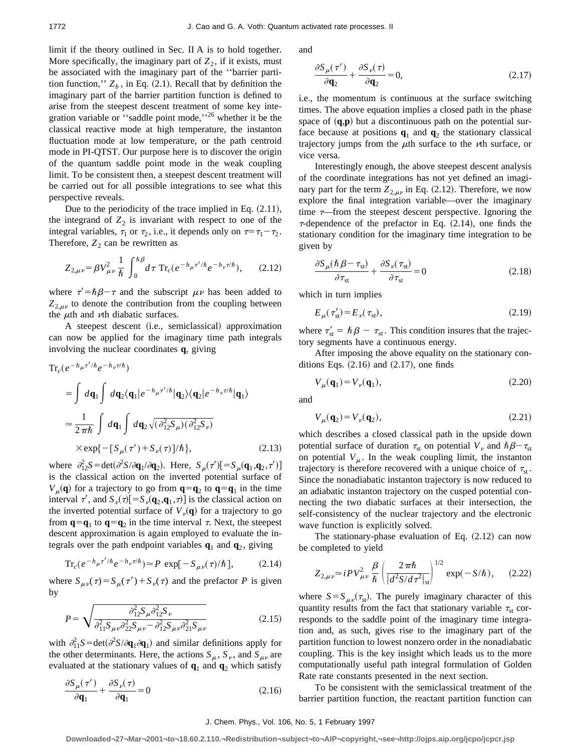limit if the theory outlined in Sec. II A is to hold together. More specifically, the imaginary part of  $Z_2$ , if it exists, must be associated with the imaginary part of the ''barrier partition function,"  $Z_h$ , in Eq. (2.1). Recall that by definition the imaginary part of the barrier partition function is defined to arise from the steepest descent treatment of some key integration variable or ''saddle point mode,''<sup>26</sup> whether it be the classical reactive mode at high temperature, the instanton fluctuation mode at low temperature, or the path centroid mode in PI-QTST. Our purpose here is to discover the origin of the quantum saddle point mode in the weak coupling limit. To be consistent then, a steepest descent treatment will be carried out for all possible integrations to see what this perspective reveals.

Due to the periodicity of the trace implied in Eq.  $(2.11)$ , the integrand of  $Z_2$  is invariant with respect to one of the integral variables,  $\tau_1$  or  $\tau_2$ , i.e., it depends only on  $\tau=\tau_1-\tau_2$ . Therefore,  $Z_2$  can be rewritten as

$$
Z_{2,\mu\nu} = \beta V_{\mu\nu}^2 \frac{1}{\hbar} \int_0^{\hbar \beta} d\tau \operatorname{Tr}_c(e^{-h_{\mu}\tau'/\hbar}e^{-h_{\nu}\tau/\hbar}), \qquad (2.12)
$$

where  $\tau' = \hbar \beta - \tau$  and the subscript  $\mu \nu$  has been added to  $Z_{2,\mu\nu}$  to denote the contribution from the coupling between the  $\mu$ th and  $\nu$ th diabatic surfaces.

A steepest descent (i.e., semiclassical) approximation can now be applied for the imaginary time path integrals involving the nuclear coordinates **q**, giving

$$
\begin{split} \operatorname{Tr}_{c}(e^{-h_{\mu}\tau^{\prime}/\hbar}e^{-h_{\nu}\tau/\hbar}) \\ &= \int d\mathbf{q}_{1} \int d\mathbf{q}_{2} \langle \mathbf{q}_{1}|e^{-h_{\mu}\tau^{\prime}/\hbar}|\mathbf{q}_{2}\rangle \langle \mathbf{q}_{2}|e^{-h_{\nu}\tau/\hbar}|\mathbf{q}_{1}\rangle \\ &\approx \frac{1}{2\pi\hbar} \int d\mathbf{q}_{1} \int d\mathbf{q}_{2} \sqrt{(\partial_{12}^{2}S_{\mu})(\partial_{12}^{2}S_{\nu})} \\ &\times \exp\{-[S_{\mu}(\tau^{\prime})+S_{\nu}(\tau)]/\hbar\}, \end{split} \tag{2.13}
$$

where  $\partial_{12}^2 S = \det(\partial^2 S / \partial \mathbf{q}_1 / \partial \mathbf{q}_2)$ . Here,  $S_\mu(\tau)$  [=  $S_\mu(\mathbf{q}_1, \mathbf{q}_2, \tau')$ ] is the classical action on the inverted potential surface of  $V_{\mu}(\mathbf{q})$  for a trajectory to go from  $\mathbf{q} = \mathbf{q}_2$  to  $\mathbf{q} = \mathbf{q}_1$  in the time interval  $\tau'$ , and  $S_{\nu}(\tau)$ [= $S_{\nu}(\mathbf{q}_2, \mathbf{q}_1, \tau)$ ] is the classical action on the inverted potential surface of  $V_p(\mathbf{q})$  for a trajectory to go from  $\mathbf{q} = \mathbf{q}_1$  to  $\mathbf{q} = \mathbf{q}_2$  in the time interval  $\tau$ . Next, the steepest descent approximation is again employed to evaluate the integrals over the path endpoint variables  $\mathbf{q}_1$  and  $\mathbf{q}_2$ , giving

$$
\operatorname{Tr}_c(e^{-h_\mu \tau'/\hbar}e^{-h_\nu \tau/\hbar}) \simeq P \exp[-S_{\mu\nu}(\tau)/\hbar],\tag{2.14}
$$

where  $S_{\mu\nu}(\tau) = S_{\mu}(\tau') + S_{\nu}(\tau)$  and the prefactor *P* is given by

$$
P = \sqrt{\frac{\partial_{12}^2 S_{\mu} \partial_{12}^2 S_{\nu}}{\partial_{11}^2 S_{\mu\nu} \partial_{22}^2 S_{\mu\nu} - \partial_{12}^2 S_{\mu\nu} \partial_{21}^2 S_{\mu\nu}}}
$$
(2.15)

with  $\partial_{11}^2 S = \det(\partial^2 S / \partial \mathbf{q}_1 \partial \mathbf{q}_1)$  and similar definitions apply for the other determinants. Here, the actions  $S_n$ ,  $S_v$ , and  $S_{uv}$  are evaluated at the stationary values of  $\mathbf{q}_1$  and  $\mathbf{q}_2$  which satisfy

$$
\frac{\partial S_{\mu}(\tau')}{\partial \mathbf{q}_1} + \frac{\partial S_{\nu}(\tau)}{\partial \mathbf{q}_1} = 0
$$
\n(2.16)

and

$$
\frac{\partial S_{\mu}(\tau')}{\partial \mathbf{q}_2} + \frac{\partial S_{\nu}(\tau)}{\partial \mathbf{q}_2} = 0, \tag{2.17}
$$

i.e., the momentum is continuous at the surface switching times. The above equation implies a closed path in the phase space of  $(q, p)$  but a discontinuous path on the potential surface because at positions  $q_1$  and  $q_2$  the stationary classical trajectory jumps from the  $\mu$ th surface to the  $\nu$ th surface, or vice versa.

Interestingly enough, the above steepest descent analysis of the coordinate integrations has not yet defined an imaginary part for the term  $Z_{2,n\nu}$  in Eq. (2.12). Therefore, we now explore the final integration variable—over the imaginary time  $\tau$ —from the steepest descent perspective. Ignoring the  $\tau$ -dependence of the prefactor in Eq.  $(2.14)$ , one finds the stationary condition for the imaginary time integration to be given by

$$
\frac{\partial S_{\mu}(\hbar \beta - \tau_{\rm st})}{\partial \tau_{\rm st}} + \frac{\partial S_{\nu}(\tau_{\rm st})}{\partial \tau_{\rm st}} = 0
$$
\n(2.18)

which in turn implies

$$
E_{\mu}(\tau_{\rm st}') = E_{\nu}(\tau_{\rm st}),\tag{2.19}
$$

where  $\tau'_{st} = \hbar \beta - \tau_{st}$ . This condition insures that the trajectory segments have a continuous energy.

After imposing the above equality on the stationary conditions Eqs.  $(2.16)$  and  $(2.17)$ , one finds

$$
V_{\mu}(\mathbf{q}_1) = V_{\nu}(\mathbf{q}_1),\tag{2.20}
$$

and

$$
V_{\mu}(\mathbf{q}_2) = V_{\nu}(\mathbf{q}_2),\tag{2.21}
$$

which describes a closed classical path in the upside down potential surface of duration  $\tau_{\rm st}$  on potential  $V_{\nu}$  and  $\hbar\beta - \tau_{\rm st}$ on potential  $V_{\mu}$ . In the weak coupling limit, the instanton trajectory is therefore recovered with a unique choice of  $\tau_{st}$ . Since the nonadiabatic instanton trajectory is now reduced to an adiabatic instanton trajectory on the cusped potential connecting the two diabatic surfaces at their intersection, the self-consistency of the nuclear trajectory and the electronic wave function is explicitly solved.

The stationary-phase evaluation of Eq.  $(2.12)$  can now be completed to yield

$$
Z_{2,\mu\nu} \simeq iPV_{\mu\nu}^2 \frac{\beta}{\hbar} \left( \frac{2\,\pi\hbar}{|d^2S/d\,\tau^2|_{\rm st}} \right)^{1/2} \exp(-S/\hbar),\qquad(2.22)
$$

where  $S = S_{\mu\nu}(\tau_{st})$ . The purely imaginary character of this quantity results from the fact that stationary variable  $\tau_{st}$  corresponds to the saddle point of the imaginary time integration and, as such, gives rise to the imaginary part of the partition function to lowest nonzero order in the nonadiabatic coupling. This is the key insight which leads us to the more computationally useful path integral formulation of Golden Rate rate constants presented in the next section.

To be consistent with the semiclassical treatment of the barrier partition function, the reactant partition function can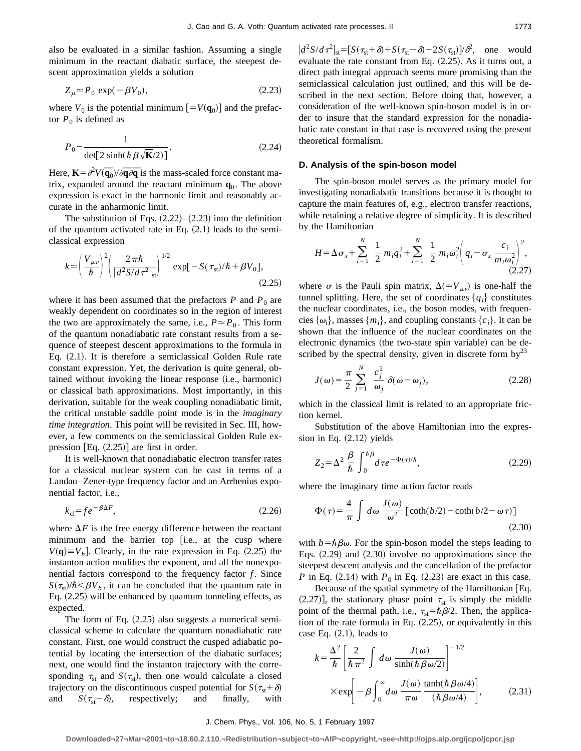also be evaluated in a similar fashion. Assuming a single minimum in the reactant diabatic surface, the steepest descent approximation yields a solution

$$
Z_{\mu} \simeq P_0 \exp(-\beta V_0), \tag{2.23}
$$

where  $V_0$  is the potential minimum  $[=V(\mathbf{q}_0)]$  and the prefactor  $P_0$  is defined as

$$
P_0 = \frac{1}{\det[2\sinh(\hbar\beta\sqrt{\mathbf{K}}/2)]}.
$$
 (2.24)

Here,  $\mathbf{K} = \partial^2 V(\overline{\mathbf{q}}_0)/\partial \overline{\mathbf{q}} \partial \overline{\mathbf{q}}$  is the mass-scaled force constant matrix, expanded around the reactant minimum  $q_0$ . The above expression is exact in the harmonic limit and reasonably accurate in the anharmonic limit.

The substitution of Eqs.  $(2.22)$ – $(2.23)$  into the definition of the quantum activated rate in Eq.  $(2.1)$  leads to the semiclassical expression

$$
k \simeq \left(\frac{V_{\mu\nu}}{\hbar}\right)^2 \left(\frac{2\,\pi\hbar}{|d^2S/d\,\tau^2|_{\rm st}}\right)^{1/2} \,\exp[-S(\,\tau_{\rm st})/\hbar + \beta V_0],\tag{2.25}
$$

where it has been assumed that the prefactors  $P$  and  $P_0$  are weakly dependent on coordinates so in the region of interest the two are approximately the same, i.e.,  $P \approx P_0$ . This form of the quantum nonadiabatic rate constant results from a sequence of steepest descent approximations to the formula in Eq.  $(2.1)$ . It is therefore a semiclassical Golden Rule rate constant expression. Yet, the derivation is quite general, obtained without invoking the linear response (i.e., harmonic) or classical bath approximations. Most importantly, in this derivation, suitable for the weak coupling nonadiabatic limit, the critical unstable saddle point mode is in the *imaginary time integration*. This point will be revisited in Sec. III, however, a few comments on the semiclassical Golden Rule expression  $[Eq. (2.25)]$  are first in order.

It is well-known that nonadiabatic electron transfer rates for a classical nuclear system can be cast in terms of a Landau–Zener-type frequency factor and an Arrhenius exponential factor, i.e.,

$$
k_{\rm cl} = f e^{-\beta \Delta F},\tag{2.26}
$$

where  $\Delta F$  is the free energy difference between the reactant minimum and the barrier top  $[i.e., at the cusp where$  $V(q) \equiv V_h$ . Clearly, in the rate expression in Eq. (2.25) the instanton action modifies the exponent, and all the nonexponential factors correspond to the frequency factor  $f$ . Since  $S(\tau_{st})/\hbar \langle BV_b$ , it can be concluded that the quantum rate in Eq.  $(2.25)$  will be enhanced by quantum tunneling effects, as expected.

The form of Eq.  $(2.25)$  also suggests a numerical semiclassical scheme to calculate the quantum nonadiabatic rate constant. First, one would construct the cusped adiabatic potential by locating the intersection of the diabatic surfaces; next, one would find the instanton trajectory with the corresponding  $\tau_{st}$  and *S*( $\tau_{st}$ ), then one would calculate a closed trajectory on the discontinuous cusped potential for  $S(\tau_{st} + \delta)$ <br>and  $S(\tau_{st} - \delta)$ , respectively; and finally, with and  $S(\tau_{st}-\delta)$ , respectively; and finally, with

 $|d^2S/d\tau^2|_{st} = [S(\tau_{st}+\delta) + S(\tau_{st}-\delta) - 2S(\tau_{st})]/\delta^2$ , one would evaluate the rate constant from Eq.  $(2.25)$ . As it turns out, a direct path integral approach seems more promising than the semiclassical calculation just outlined, and this will be described in the next section. Before doing that, however, a consideration of the well-known spin-boson model is in order to insure that the standard expression for the nonadiabatic rate constant in that case is recovered using the present theoretical formalism.

#### **D. Analysis of the spin-boson model**

The spin-boson model serves as the primary model for investigating nonadiabatic transitions because it is thought to capture the main features of, e.g., electron transfer reactions, while retaining a relative degree of simplicity. It is described by the Hamiltonian

$$
H = \Delta \sigma_x + \sum_{i=1}^{N} \frac{1}{2} m_i \dot{q}_i^2 + \sum_{i=1}^{N} \frac{1}{2} m_i \omega_i^2 \left( q_i - \sigma_z \frac{c_i}{m_i \omega_i^2} \right)^2, \tag{2.27}
$$

where  $\sigma$  is the Pauli spin matrix,  $\Delta(=V_{\mu\nu})$  is one-half the tunnel splitting. Here, the set of coordinates  ${q_i}$  constitutes the nuclear coordinates, i.e., the boson modes, with frequencies  $\{\omega_i\}$ , masses  $\{m_i\}$ , and coupling constants  $\{c_i\}$ . It can be shown that the influence of the nuclear coordinates on the electronic dynamics (the two-state spin variable) can be described by the spectral density, given in discrete form by<sup>23</sup>

$$
J(\omega) = \frac{\pi}{2} \sum_{j=1}^{N} \frac{c_j^2}{\omega_j} \delta(\omega - \omega_j),
$$
 (2.28)

which in the classical limit is related to an appropriate friction kernel.

Substitution of the above Hamiltonian into the expression in Eq.  $(2.12)$  yields

$$
Z_2 = \Delta^2 \frac{\beta}{\hbar} \int_0^{\hbar \beta} d\tau e^{-\Phi(\tau)/\hbar}, \qquad (2.29)
$$

where the imaginary time action factor reads

$$
\Phi(\tau) = \frac{4}{\pi} \int d\omega \frac{J(\omega)}{\omega^2} \left[ \coth(b/2) - \coth(b/2 - \omega \tau) \right]
$$
\n(2.30)

with  $b = \hbar \beta \omega$ . For the spin-boson model the steps leading to Eqs.  $(2.29)$  and  $(2.30)$  involve no approximations since the steepest descent analysis and the cancellation of the prefactor *P* in Eq.  $(2.14)$  with  $P_0$  in Eq.  $(2.23)$  are exact in this case.

Because of the spatial symmetry of the Hamiltonian [Eq. (2.27)], the stationary phase point  $\tau_{st}$  is simply the middle point of the thermal path, i.e.,  $\tau_{st}=\hbar\beta/2$ . Then, the application of the rate formula in Eq.  $(2.25)$ , or equivalently in this case Eq.  $(2.1)$ , leads to

$$
k = \frac{\Delta^2}{\hbar} \left[ \frac{2}{\hbar \pi^2} \int d\omega \, \frac{J(\omega)}{\sinh(\hbar \beta \omega/2)} \right]^{-1/2}
$$

$$
\times \exp\left[ -\beta \int_0^\infty d\omega \, \frac{J(\omega)}{\pi \omega} \frac{\tanh(\hbar \beta \omega/4)}{(\hbar \beta \omega/4)} \right], \tag{2.31}
$$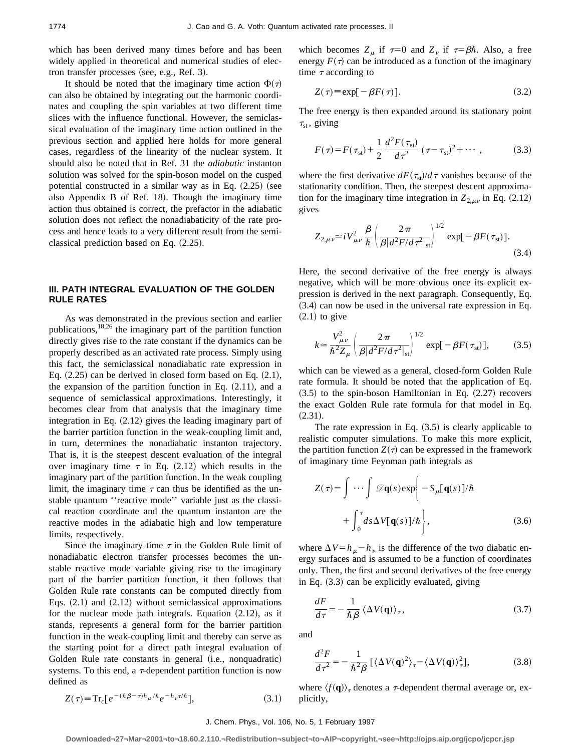which has been derived many times before and has been widely applied in theoretical and numerical studies of electron transfer processes (see, e.g., Ref. 3).

It should be noted that the imaginary time action  $\Phi(\tau)$ can also be obtained by integrating out the harmonic coordinates and coupling the spin variables at two different time slices with the influence functional. However, the semiclassical evaluation of the imaginary time action outlined in the previous section and applied here holds for more general cases, regardless of the linearity of the nuclear system. It should also be noted that in Ref. 31 the *adiabatic* instanton solution was solved for the spin-boson model on the cusped potential constructed in a similar way as in Eq.  $(2.25)$  (see also Appendix B of Ref.  $18$ ). Though the imaginary time action thus obtained is correct, the prefactor in the adiabatic solution does not reflect the nonadiabaticity of the rate process and hence leads to a very different result from the semiclassical prediction based on Eq.  $(2.25)$ .

# **III. PATH INTEGRAL EVALUATION OF THE GOLDEN RULE RATES**

As was demonstrated in the previous section and earlier publications,18,26 the imaginary part of the partition function directly gives rise to the rate constant if the dynamics can be properly described as an activated rate process. Simply using this fact, the semiclassical nonadiabatic rate expression in Eq.  $(2.25)$  can be derived in closed form based on Eq.  $(2.1)$ , the expansion of the partition function in Eq.  $(2.11)$ , and a sequence of semiclassical approximations. Interestingly, it becomes clear from that analysis that the imaginary time integration in Eq.  $(2.12)$  gives the leading imaginary part of the barrier partition function in the weak-coupling limit and, in turn, determines the nonadiabatic instanton trajectory. That is, it is the steepest descent evaluation of the integral over imaginary time  $\tau$  in Eq. (2.12) which results in the imaginary part of the partition function. In the weak coupling limit, the imaginary time  $\tau$  can thus be identified as the unstable quantum ''reactive mode'' variable just as the classical reaction coordinate and the quantum instanton are the reactive modes in the adiabatic high and low temperature limits, respectively.

Since the imaginary time  $\tau$  in the Golden Rule limit of nonadiabatic electron transfer processes becomes the unstable reactive mode variable giving rise to the imaginary part of the barrier partition function, it then follows that Golden Rule rate constants can be computed directly from Eqs.  $(2.1)$  and  $(2.12)$  without semiclassical approximations for the nuclear mode path integrals. Equation  $(2.12)$ , as it stands, represents a general form for the barrier partition function in the weak-coupling limit and thereby can serve as the starting point for a direct path integral evaluation of Golden Rule rate constants in general (i.e., nonquadratic) systems. To this end, a  $\tau$ -dependent partition function is now defined as

$$
Z(\tau) \equiv \mathrm{Tr}_c \left[ e^{-(\hbar \beta - \tau)h_\mu/\hbar} e^{-h_\nu \tau/\hbar} \right],\tag{3.1}
$$

which becomes  $Z_\mu$  if  $\tau=0$  and  $Z_\nu$  if  $\tau=\beta\hbar$ . Also, a free energy  $F(\tau)$  can be introduced as a function of the imaginary time  $\tau$  according to

$$
Z(\tau) \equiv \exp[-\beta F(\tau)]. \tag{3.2}
$$

The free energy is then expanded around its stationary point  $\tau_{st}$ , giving

$$
F(\tau) = F(\tau_{\rm st}) + \frac{1}{2} \frac{d^2 F(\tau_{\rm st})}{d \tau^2} (\tau - \tau_{\rm st})^2 + \cdots, \qquad (3.3)
$$

where the first derivative  $dF(\tau_{st})/d\tau$  vanishes because of the stationarity condition. Then, the steepest descent approximation for the imaginary time integration in  $Z_{2,\mu\nu}$  in Eq. (2.12) gives

$$
Z_{2,\mu\nu} \simeq i V_{\mu\nu}^2 \frac{\beta}{\hbar} \left( \frac{2\pi}{\beta |d^2 F/d\tau^2|_{\rm st}} \right)^{1/2} \exp[-\beta F(\tau_{\rm st})]. \tag{3.4}
$$

Here, the second derivative of the free energy is always negative, which will be more obvious once its explicit expression is derived in the next paragraph. Consequently, Eq.  $(3.4)$  can now be used in the universal rate expression in Eq.  $(2.1)$  to give

$$
k \approx \frac{V_{\mu\nu}^2}{\hbar^2 Z_{\mu}} \left( \frac{2\pi}{\beta |d^2 F/d\tau^2|_{\rm st}} \right)^{1/2} \exp[-\beta F(\tau_{\rm st})],\tag{3.5}
$$

which can be viewed as a general, closed-form Golden Rule rate formula. It should be noted that the application of Eq.  $(3.5)$  to the spin-boson Hamiltonian in Eq.  $(2.27)$  recovers the exact Golden Rule rate formula for that model in Eq.  $(2.31).$ 

The rate expression in Eq.  $(3.5)$  is clearly applicable to realistic computer simulations. To make this more explicit, the partition function  $Z(\tau)$  can be expressed in the framework of imaginary time Feynman path integrals as

$$
Z(\tau) = \int \cdots \int \mathcal{D}q(s) \exp\left\{-S_{\mu} [q(s)]/\hbar + \int_0^{\tau} ds \Delta V[q(s)]/\hbar \right\},
$$
 (3.6)

where  $\Delta V = h_{\mu} - h_{\nu}$  is the difference of the two diabatic energy surfaces and is assumed to be a function of coordinates only. Then, the first and second derivatives of the free energy in Eq.  $(3.3)$  can be explicitly evaluated, giving

$$
\frac{dF}{d\tau} = -\frac{1}{\hbar\beta} \left\langle \Delta V(\mathbf{q}) \right\rangle_{\tau},\tag{3.7}
$$

and

$$
\frac{d^2F}{d\tau^2} = -\frac{1}{\hbar^2 \beta} \left[ \langle \Delta V(\mathbf{q})^2 \rangle_\tau - \langle \Delta V(\mathbf{q}) \rangle_\tau^2 \right],\tag{3.8}
$$

where  $\langle f(\mathbf{q}) \rangle_{\tau}$  denotes a  $\tau$ -dependent thermal average or, explicitly,

#### J. Chem. Phys., Vol. 106, No. 5, 1 February 1997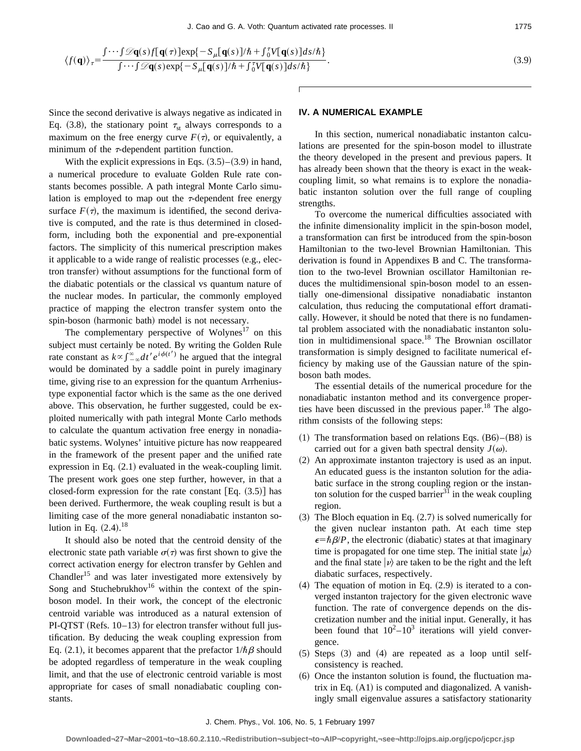$$
\langle f(\mathbf{q}) \rangle_{\tau} = \frac{\int \cdots \int \mathcal{D}\mathbf{q}(s) f[\mathbf{q}(\tau)] \exp\{-S_{\mu}[\mathbf{q}(s)]/\hbar + \int_{0}^{\tau} V[\mathbf{q}(s)] ds/\hbar\}}{\int \cdots \int \mathcal{D}\mathbf{q}(s) \exp\{-S_{\mu}[\mathbf{q}(s)]/\hbar + \int_{0}^{\tau} V[\mathbf{q}(s)] ds/\hbar\}}.
$$
\n(3.9)

Since the second derivative is always negative as indicated in Eq. (3.8), the stationary point  $\tau_{st}$  always corresponds to a maximum on the free energy curve  $F(\tau)$ , or equivalently, a minimum of the  $\tau$ -dependent partition function.

With the explicit expressions in Eqs.  $(3.5)$ – $(3.9)$  in hand, a numerical procedure to evaluate Golden Rule rate constants becomes possible. A path integral Monte Carlo simulation is employed to map out the  $\tau$ -dependent free energy surface  $F(\tau)$ , the maximum is identified, the second derivative is computed, and the rate is thus determined in closedform, including both the exponential and pre-exponential factors. The simplicity of this numerical prescription makes it applicable to a wide range of realistic processes  $(e.g., elec$ tron transfer) without assumptions for the functional form of the diabatic potentials or the classical vs quantum nature of the nuclear modes. In particular, the commonly employed practice of mapping the electron transfer system onto the spin-boson (harmonic bath) model is not necessary.

The complementary perspective of Wolynes<sup>17</sup> on this subject must certainly be noted. By writing the Golden Rule rate constant as  $k \propto \int_{-\infty}^{\infty} dt' e^{i\phi(t')}$  he argued that the integral would be dominated by a saddle point in purely imaginary time, giving rise to an expression for the quantum Arrheniustype exponential factor which is the same as the one derived above. This observation, he further suggested, could be exploited numerically with path integral Monte Carlo methods to calculate the quantum activation free energy in nonadiabatic systems. Wolynes' intuitive picture has now reappeared in the framework of the present paper and the unified rate expression in Eq.  $(2.1)$  evaluated in the weak-coupling limit. The present work goes one step further, however, in that a closed-form expression for the rate constant  $[Eq. (3.5)]$  has been derived. Furthermore, the weak coupling result is but a limiting case of the more general nonadiabatic instanton solution in Eq.  $(2.4).^{18}$ 

It should also be noted that the centroid density of the electronic state path variable  $\sigma(\tau)$  was first shown to give the correct activation energy for electron transfer by Gehlen and Chandler<sup>15</sup> and was later investigated more extensively by Song and Stuchebrukhov<sup>16</sup> within the context of the spinboson model. In their work, the concept of the electronic centroid variable was introduced as a natural extension of  $PI-QTST$  (Refs.  $10-13$ ) for electron transfer without full justification. By deducing the weak coupling expression from Eq. (2.1), it becomes apparent that the prefactor  $1/\hbar \beta$  should be adopted regardless of temperature in the weak coupling limit, and that the use of electronic centroid variable is most appropriate for cases of small nonadiabatic coupling constants.

# **IV. A NUMERICAL EXAMPLE**

In this section, numerical nonadiabatic instanton calculations are presented for the spin-boson model to illustrate the theory developed in the present and previous papers. It has already been shown that the theory is exact in the weakcoupling limit, so what remains is to explore the nonadiabatic instanton solution over the full range of coupling strengths.

To overcome the numerical difficulties associated with the infinite dimensionality implicit in the spin-boson model, a transformation can first be introduced from the spin-boson Hamiltonian to the two-level Brownian Hamiltonian. This derivation is found in Appendixes B and C. The transformation to the two-level Brownian oscillator Hamiltonian reduces the multidimensional spin-boson model to an essentially one-dimensional dissipative nonadiabatic instanton calculation, thus reducing the computational effort dramatically. However, it should be noted that there is no fundamental problem associated with the nonadiabatic instanton solution in multidimensional space.<sup>18</sup> The Brownian oscillator transformation is simply designed to facilitate numerical efficiency by making use of the Gaussian nature of the spinboson bath modes.

The essential details of the numerical procedure for the nonadiabatic instanton method and its convergence properties have been discussed in the previous paper.<sup>18</sup> The algorithm consists of the following steps:

- $(1)$  The transformation based on relations Eqs.  $(B6)$ – $(B8)$  is carried out for a given bath spectral density  $J(\omega)$ .
- ~2! An approximate instanton trajectory is used as an input. An educated guess is the instanton solution for the adiabatic surface in the strong coupling region or the instanton solution for the cusped barrier $31$  in the weak coupling region.
- $(3)$  The Bloch equation in Eq.  $(2.7)$  is solved numerically for the given nuclear instanton path. At each time step  $\epsilon = \hbar \beta / P$ , the electronic (diabatic) states at that imaginary time is propagated for one time step. The initial state  $|\mu\rangle$ and the final state  $|\nu\rangle$  are taken to be the right and the left diabatic surfaces, respectively.
- $(4)$  The equation of motion in Eq.  $(2.9)$  is iterated to a converged instanton trajectory for the given electronic wave function. The rate of convergence depends on the discretization number and the initial input. Generally, it has been found that  $10^2 - 10^3$  iterations will yield convergence.
- $(5)$  Steps  $(3)$  and  $(4)$  are repeated as a loop until selfconsistency is reached.
- $(6)$  Once the instanton solution is found, the fluctuation matrix in Eq.  $(A1)$  is computed and diagonalized. A vanishingly small eigenvalue assures a satisfactory stationarity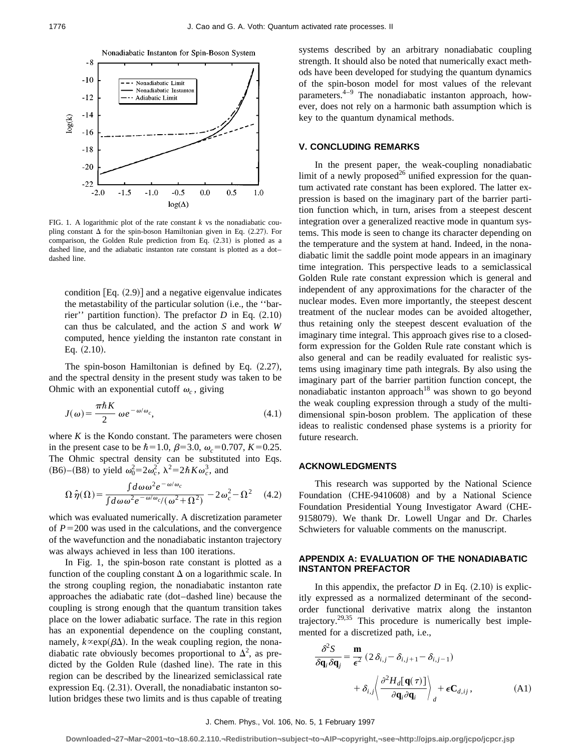

FIG. 1. A logarithmic plot of the rate constant  $k$  vs the nonadiabatic coupling constant  $\Delta$  for the spin-boson Hamiltonian given in Eq. (2.27). For comparison, the Golden Rule prediction from Eq.  $(2.31)$  is plotted as a dashed line, and the adiabatic instanton rate constant is plotted as a dot– dashed line.

condition  $[Eq. (2.9)]$  and a negative eigenvalue indicates the metastability of the particular solution (i.e., the "barrier'' partition function). The prefactor  $D$  in Eq.  $(2.10)$ can thus be calculated, and the action *S* and work *W* computed, hence yielding the instanton rate constant in Eq.  $(2.10)$ .

The spin-boson Hamiltonian is defined by Eq.  $(2.27)$ , and the spectral density in the present study was taken to be Ohmic with an exponential cutoff  $\omega_c$ , giving

$$
J(\omega) = \frac{\pi \hbar K}{2} \omega e^{-\omega/\omega_c},
$$
\n(4.1)

where  $K$  is the Kondo constant. The parameters were chosen in the present case to be  $\hbar$ =1.0,  $\beta$ =3.0,  $\omega_c$ =0.707, *K*=0.25. The Ohmic spectral density can be substituted into Eqs.  $(B6)$ – $(B8)$  to yield  $\omega_0^2 = 2\omega_c^2$ ,  $\lambda^2 = 2\hbar K \omega_c^3$ , and

$$
\Omega \,\hat{\eta}(\Omega) = \frac{\int d\omega \,\omega^2 e^{-\omega/\omega_c}}{\int d\omega \,\omega^2 e^{-\omega/\omega_c}/(\omega^2 + \Omega^2)} - 2\,\omega_c^2 - \Omega^2 \tag{4.2}
$$

which was evaluated numerically. A discretization parameter of  $P = 200$  was used in the calculations, and the convergence of the wavefunction and the nonadiabatic instanton trajectory was always achieved in less than 100 iterations.

In Fig. 1, the spin-boson rate constant is plotted as a function of the coupling constant  $\Delta$  on a logarithmic scale. In the strong coupling region, the nonadiabatic instanton rate approaches the adiabatic rate (dot–dashed line) because the coupling is strong enough that the quantum transition takes place on the lower adiabatic surface. The rate in this region has an exponential dependence on the coupling constant, namely,  $k \propto \exp(\beta \Delta)$ . In the weak coupling region, the nonadiabatic rate obviously becomes proportional to  $\Delta^2$ , as predicted by the Golden Rule (dashed line). The rate in this region can be described by the linearized semiclassical rate expression Eq.  $(2.31)$ . Overall, the nonadiabatic instanton solution bridges these two limits and is thus capable of treating systems described by an arbitrary nonadiabatic coupling strength. It should also be noted that numerically exact methods have been developed for studying the quantum dynamics of the spin-boson model for most values of the relevant parameters.4–9 The nonadiabatic instanton approach, however, does not rely on a harmonic bath assumption which is key to the quantum dynamical methods.

#### **V. CONCLUDING REMARKS**

In the present paper, the weak-coupling nonadiabatic limit of a newly proposed<sup>26</sup> unified expression for the quantum activated rate constant has been explored. The latter expression is based on the imaginary part of the barrier partition function which, in turn, arises from a steepest descent integration over a generalized reactive mode in quantum systems. This mode is seen to change its character depending on the temperature and the system at hand. Indeed, in the nonadiabatic limit the saddle point mode appears in an imaginary time integration. This perspective leads to a semiclassical Golden Rule rate constant expression which is general and independent of any approximations for the character of the nuclear modes. Even more importantly, the steepest descent treatment of the nuclear modes can be avoided altogether, thus retaining only the steepest descent evaluation of the imaginary time integral. This approach gives rise to a closedform expression for the Golden Rule rate constant which is also general and can be readily evaluated for realistic systems using imaginary time path integrals. By also using the imaginary part of the barrier partition function concept, the nonadiabatic instanton approach<sup>18</sup> was shown to go beyond the weak coupling expression through a study of the multidimensional spin-boson problem. The application of these ideas to realistic condensed phase systems is a priority for future research.

#### **ACKNOWLEDGMENTS**

This research was supported by the National Science Foundation (CHE-9410608) and by a National Science Foundation Presidential Young Investigator Award (CHE-9158079). We thank Dr. Lowell Ungar and Dr. Charles Schwieters for valuable comments on the manuscript.

# **APPENDIX A: EVALUATION OF THE NONADIABATIC INSTANTON PREFACTOR**

In this appendix, the prefactor  $D$  in Eq.  $(2.10)$  is explicitly expressed as a normalized determinant of the secondorder functional derivative matrix along the instanton trajectory.29,35 This procedure is numerically best implemented for a discretized path, i.e.,

$$
\frac{\partial^2 S}{\partial \mathbf{q}_i \partial \mathbf{q}_j} = \frac{\mathbf{m}}{\epsilon^2} \left( 2 \delta_{i,j} - \delta_{i,j+1} - \delta_{i,j-1} \right) + \delta_{i,j} \left\langle \frac{\partial^2 H_d[\mathbf{q}(\tau)]}{\partial \mathbf{q}_i \partial \mathbf{q}_i} \right\rangle_d + \epsilon \mathbf{C}_{d,ij},
$$
(A1)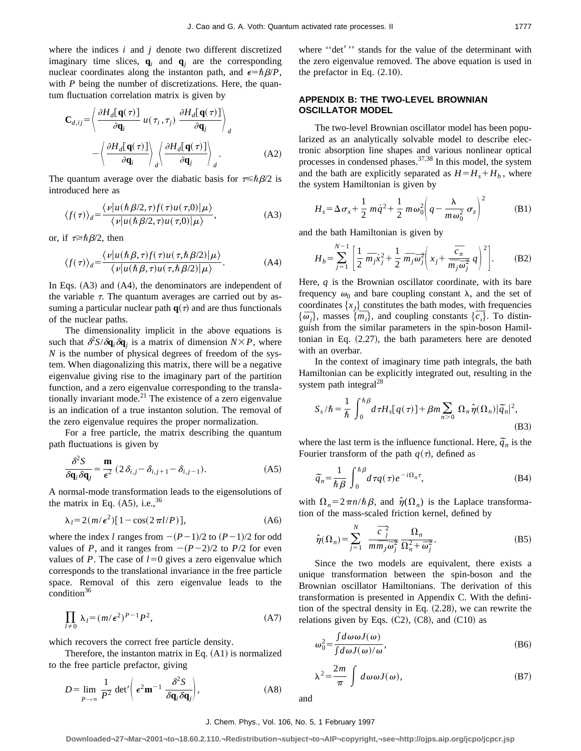where the indices *i* and *j* denote two different discretized imaginary time slices,  $q_i$  and  $q_j$  are the corresponding nuclear coordinates along the instanton path, and  $\epsilon = \hbar \beta / P$ , with *P* being the number of discretizations. Here, the quantum fluctuation correlation matrix is given by

$$
\mathbf{C}_{d,ij} = \left\langle \frac{\partial H_d[\mathbf{q}(\tau)]}{\partial \mathbf{q}_i} u(\tau_i, \tau_j) \frac{\partial H_d[\mathbf{q}(\tau)]}{\partial \mathbf{q}_j} \right\rangle_d
$$

$$
- \left\langle \frac{\partial H_d[\mathbf{q}(\tau)]}{\partial \mathbf{q}_i} \right\rangle_d \left\langle \frac{\partial H_d[\mathbf{q}(\tau)]}{\partial \mathbf{q}_j} \right\rangle_d.
$$
(A2)

The quantum average over the diabatic basis for  $\tau \le \hbar \beta/2$  is introduced here as

$$
\langle f(\tau) \rangle_{d} = \frac{\langle \nu | u(\hbar \beta/2, \tau) f(\tau) u(\tau, 0) | \mu \rangle}{\langle \nu | u(\hbar \beta/2, \tau) u(\tau, 0) | \mu \rangle},
$$
(A3)

or, if  $\tau \ge \hbar \beta/2$ , then

$$
\langle f(\tau) \rangle_{d} = \frac{\langle \nu | u(\hbar \beta, \tau) f(\tau) u(\tau, \hbar \beta/2) | \mu \rangle}{\langle \nu | u(\hbar \beta, \tau) u(\tau, \hbar \beta/2) | \mu \rangle}.
$$
 (A4)

In Eqs.  $(A3)$  and  $(A4)$ , the denominators are independent of the variable  $\tau$ . The quantum averages are carried out by assuming a particular nuclear path  $q(\tau)$  and are thus functionals of the nuclear paths.

The dimensionality implicit in the above equations is such that  $\delta^2 S/\delta q_i \delta q_j$  is a matrix of dimension  $N \times P$ , where *N* is the number of physical degrees of freedom of the system. When diagonalizing this matrix, there will be a negative eigenvalue giving rise to the imaginary part of the partition function, and a zero eigenvalue corresponding to the translationally invariant mode.<sup>21</sup> The existence of a zero eigenvalue is an indication of a true instanton solution. The removal of the zero eigenvalue requires the proper normalization.

For a free particle, the matrix describing the quantum path fluctuations is given by

$$
\frac{\delta^2 S}{\delta \mathbf{q}_i \delta \mathbf{q}_j} = \frac{\mathbf{m}}{\epsilon^2} \left( 2 \delta_{i,j} - \delta_{i,j+1} - \delta_{i,j-1} \right). \tag{A5}
$$

A normal-mode transformation leads to the eigensolutions of the matrix in Eq.  $(A5)$ , i.e., <sup>36</sup>

$$
\lambda_l = 2(m/\epsilon^2)[1 - \cos(2\pi l/P)],\tag{A6}
$$

where the index *l* ranges from  $-(P-1)/2$  to  $(P-1)/2$  for odd values of *P*, and it ranges from  $-(P-2)/2$  to *P*/2 for even values of *P*. The case of  $l=0$  gives a zero eigenvalue which corresponds to the translational invariance in the free particle space. Removal of this zero eigenvalue leads to the condition $36$ 

$$
\prod_{l\neq 0} \lambda_l = (m/\epsilon^2)^{P-1} P^2,\tag{A7}
$$

which recovers the correct free particle density.

Therefore, the instanton matrix in Eq.  $(A1)$  is normalized to the free particle prefactor, giving

$$
D = \lim_{P \to \infty} \frac{1}{P^2} \det' \left( \epsilon^2 \mathbf{m}^{-1} \frac{\delta^2 S}{\delta \mathbf{q}_i \delta \mathbf{q}_j} \right), \tag{A8}
$$

where "det'" stands for the value of the determinant with the zero eigenvalue removed. The above equation is used in the prefactor in Eq.  $(2.10)$ .

#### **APPENDIX B: THE TWO-LEVEL BROWNIAN OSCILLATOR MODEL**

The two-level Brownian oscillator model has been popularized as an analytically solvable model to describe electronic absorption line shapes and various nonlinear optical processes in condensed phases. $37,38$  In this model, the system and the bath are explicitly separated as  $H = H_s + H_b$ , where the system Hamiltonian is given by

$$
H_s = \Delta \sigma_x + \frac{1}{2} m \dot{q}^2 + \frac{1}{2} m \omega_0^2 \left( q - \frac{\lambda}{m \omega_0^2} \sigma_z \right)^2 \tag{B1}
$$

and the bath Hamiltonian is given by

$$
H_b = \sum_{j=1}^{N-1} \left[ \frac{1}{2} \overline{m}_j \dot{x}_j^2 + \frac{1}{2} \overline{m}_j \overline{\omega}_j^2 \left( x_j + \frac{\overline{c}_n}{\overline{m}_j \overline{\omega}_j^2} q \right)^2 \right].
$$
 (B2)

Here, *q* is the Brownian oscillator coordinate, with its bare frequency  $\omega_0$  and bare coupling constant  $\lambda$ , and the set of coordinates  $\{x_i\}$  constitutes the bath modes, with frequencies coordinates  $\{x_j\}$  constitutes the bath modes, with frequencies  $\{\overline{\omega}_j\}$ , masses  $\{\overline{m}_i\}$ , and coupling constants  $\{\overline{c}_i\}$ . To distinguish from the similar parameters in the spin-boson Hamiltonian in Eq.  $(2.27)$ , the bath parameters here are denoted with an overbar.

In the context of imaginary time path integrals, the bath Hamiltonian can be explicitly integrated out, resulting in the system path integral $^{28}$ 

$$
S_s/\hbar = \frac{1}{\hbar} \int_0^{\hbar \beta} d\tau H_s[q(\tau)] + \beta m \sum_{n>0} \Omega_n \hat{\eta}(\Omega_n) |\tilde{q}_n|^2,
$$
\n(B3)

where the last term is the influence functional. Here,  $\widetilde{q}_n$  is the Fourier transform of the path  $q(\tau)$ , defined as

$$
\widetilde{q}_n = \frac{1}{\hbar \beta} \int_0^{\hbar \beta} d\tau q(\tau) e^{-i\Omega_n \tau}, \tag{B4}
$$

with  $\Omega_n = 2\pi n/\hbar \beta$ , and  $\hat{\eta}(\Omega_n)$  is the Laplace transformation of the mass-scaled friction kernel, defined by

$$
\hat{\eta}(\Omega_n) = \sum_{j=1}^N \frac{\overline{c}_{j}^2}{m\overline{m}_j \overline{\omega}_j^2} \frac{\Omega_n}{\Omega_n^2 + \overline{\omega}_j^2}.
$$
 (B5)

Since the two models are equivalent, there exists a unique transformation between the spin-boson and the Brownian oscillator Hamiltonians. The derivation of this transformation is presented in Appendix C. With the definition of the spectral density in Eq.  $(2.28)$ , we can rewrite the relations given by Eqs.  $(C2)$ ,  $(C8)$ , and  $(C10)$  as

$$
\omega_0^2 = \frac{\int d\omega \omega J(\omega)}{\int d\omega J(\omega)/\omega},\tag{B6}
$$

$$
\lambda^2 = \frac{2m}{\pi} \int d\omega \omega J(\omega), \tag{B7}
$$

and

# J. Chem. Phys., Vol. 106, No. 5, 1 February 1997 **Downloaded¬27¬Mar¬2001¬to¬18.60.2.110.¬Redistribution¬subject¬to¬AIP¬copyright,¬see¬http://ojps.aip.org/jcpo/jcpcr.jsp**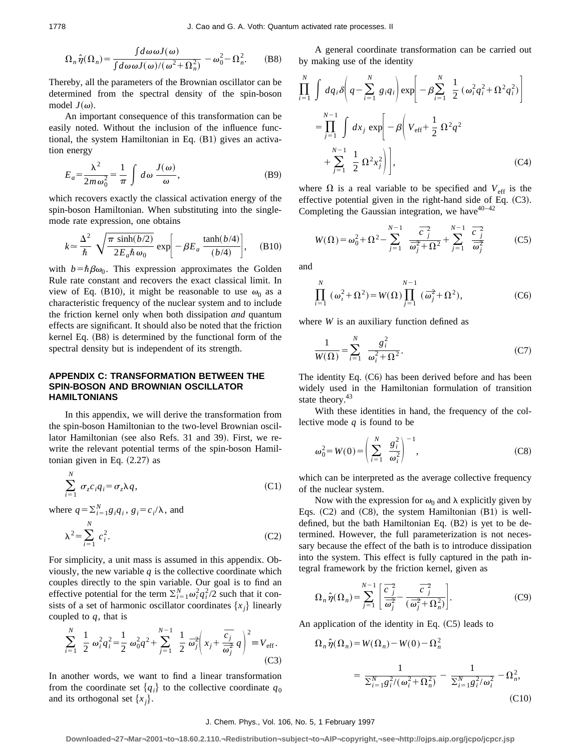$$
\Omega_n \hat{\eta}(\Omega_n) = \frac{\int d\omega \omega J(\omega)}{\int d\omega \omega J(\omega) / (\omega^2 + \Omega_n^2)} - \omega_0^2 - \Omega_n^2. \tag{B8}
$$

Thereby, all the parameters of the Brownian oscillator can be determined from the spectral density of the spin-boson model  $J(\omega)$ .

An important consequence of this transformation can be easily noted. Without the inclusion of the influence functional, the system Hamiltonian in Eq.  $(B1)$  gives an activation energy

$$
E_a = \frac{\lambda^2}{2m\omega_0^2} = \frac{1}{\pi} \int d\omega \frac{J(\omega)}{\omega},
$$
 (B9)

which recovers exactly the classical activation energy of the spin-boson Hamiltonian. When substituting into the singlemode rate expression, one obtains

$$
k \approx \frac{\Delta^2}{\hbar} \sqrt{\frac{\pi \sinh(b/2)}{2E_a \hbar \omega_0}} \exp\bigg[-\beta E_a \frac{\tanh(b/4)}{(b/4)}\bigg], \quad (B10)
$$

with  $b=\hbar\beta\omega_0$ . This expression approximates the Golden Rule rate constant and recovers the exact classical limit. In view of Eq. (B10), it might be reasonable to use  $\omega_0$  as a characteristic frequency of the nuclear system and to include the friction kernel only when both dissipation *and* quantum effects are significant. It should also be noted that the friction kernel Eq.  $(B8)$  is determined by the functional form of the spectral density but is independent of its strength.

# **APPENDIX C: TRANSFORMATION BETWEEN THE SPIN-BOSON AND BROWNIAN OSCILLATOR HAMILTONIANS**

In this appendix, we will derive the transformation from the spin-boson Hamiltonian to the two-level Brownian oscillator Hamiltonian (see also Refs. 31 and 39). First, we rewrite the relevant potential terms of the spin-boson Hamiltonian given in Eq.  $(2.27)$  as

$$
\sum_{i=1}^{N} \sigma_z c_i q_i = \sigma_z \lambda q, \qquad (C1)
$$

where  $q = \sum_{i=1}^{N} g_i q_i$ ,  $g_i = c_i/\lambda$ , and

$$
\lambda^2 = \sum_{i=1}^N c_i^2. \tag{C2}
$$

For simplicity, a unit mass is assumed in this appendix. Obviously, the new variable  $q$  is the collective coordinate which couples directly to the spin variable. Our goal is to find an effective potential for the term  $\sum_{i=1}^{N} \omega_i^2 q_i^2/2$  such that it consists of a set of harmonic oscillator coordinates  $\{x_i\}$  linearly coupled to *q*, that is

$$
\sum_{i=1}^{N} \frac{1}{2} \omega_i^2 q_i^2 = \frac{1}{2} \omega_0^2 q^2 + \sum_{j=1}^{N-1} \frac{1}{2} \overline{\omega}_j^2 \left( x_j + \frac{\overline{c}_j}{\overline{\omega}_j^2} q \right)^2 = V_{\text{eff}}.
$$
\n(C3)

In another words, we want to find a linear transformation from the coordinate set  ${q_i}$  to the collective coordinate  $q_0$ and its orthogonal set  $\{x_i\}$ .

A general coordinate transformation can be carried out by making use of the identity

$$
\prod_{i=1}^{N} \int dq_i \delta \left( q - \sum_{i=1}^{N} g_i q_i \right) \exp \left[ -\beta \sum_{i=1}^{N} \frac{1}{2} (\omega_i^2 q_i^2 + \Omega^2 q_i^2) \right]
$$
\n
$$
= \prod_{j=1}^{N-1} \int dx_j \exp \left[ -\beta \left( V_{\text{eff}} + \frac{1}{2} \Omega^2 q^2 + \sum_{j=1}^{N-1} \frac{1}{2} \Omega^2 x_j^2 \right) \right], \tag{C4}
$$

where  $\Omega$  is a real variable to be specified and  $V_{\text{eff}}$  is the effective potential given in the right-hand side of Eq.  $(C3)$ . Completing the Gaussian integration, we have  $40-42$ 

$$
W(\Omega) = \omega_0^2 + \Omega^2 - \sum_{j=1}^{N-1} \frac{\overline{c}_{j}^2}{\overline{\omega}_j^2 + \Omega^2} + \sum_{j=1}^{N-1} \frac{\overline{c}_{j}^2}{\overline{\omega}_j^2}
$$
 (C5)

and

$$
\prod_{i=1}^{N} (\omega_i^2 + \Omega^2) = W(\Omega) \prod_{j=1}^{N-1} (\overline{\omega}_j^2 + \Omega^2),
$$
 (C6)

where *W* is an auxiliary function defined as

$$
\frac{1}{W(\Omega)} = \sum_{i=1}^{N} \frac{g_i^2}{\omega_i^2 + \Omega^2}.
$$
 (C7)

The identity Eq.  $(C6)$  has been derived before and has been widely used in the Hamiltonian formulation of transition state theory. $43$ 

With these identities in hand, the frequency of the collective mode *q* is found to be

$$
\omega_0^2 = W(0) = \left(\sum_{i=1}^N \frac{g_i^2}{\omega_i^2}\right)^{-1},
$$
 (C8)

which can be interpreted as the average collective frequency of the nuclear system.

Now with the expression for  $\omega_0$  and  $\lambda$  explicitly given by Eqs.  $(C2)$  and  $(C8)$ , the system Hamiltonian  $(B1)$  is welldefined, but the bath Hamiltonian Eq.  $(B2)$  is yet to be determined. However, the full parameterization is not necessary because the effect of the bath is to introduce dissipation into the system. This effect is fully captured in the path integral framework by the friction kernel, given as

$$
\Omega_n \hat{\eta}(\Omega_n) = \sum_{j=1}^{N-1} \left[ \frac{\overline{c}_j^2}{\overline{\omega}_j^2} - \frac{\overline{c}_j^2}{(\overline{\omega}_j^2 + \Omega_n^2)} \right].
$$
 (C9)

An application of the identity in Eq.  $(C5)$  leads to

$$
\Omega_n \hat{\eta}(\Omega_n) = W(\Omega_n) - W(0) - \Omega_n^2
$$
  
= 
$$
\frac{1}{\sum_{i=1}^N g_i^2 / (\omega_i^2 + \Omega_n^2)} - \frac{1}{\sum_{i=1}^N g_i^2 / \omega_i^2} - \Omega_n^2,
$$
 (C10)

# J. Chem. Phys., Vol. 106, No. 5, 1 February 1997